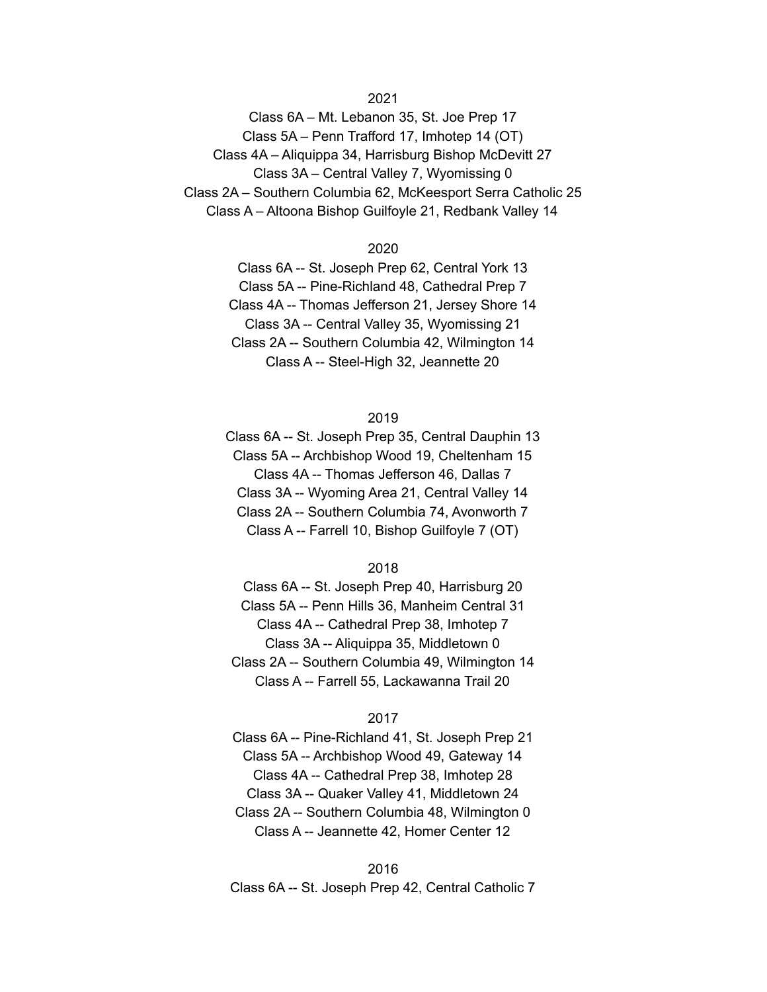## 2021

Class 6A – Mt. Lebanon 35, St. Joe Prep 17 Class 5A – Penn Trafford 17, Imhotep 14 (OT) Class 4A – Aliquippa 34, Harrisburg Bishop McDevitt 27 Class 3A – Central Valley 7, Wyomissing 0 Class 2A – Southern Columbia 62, McKeesport Serra Catholic 25 Class A – Altoona Bishop Guilfoyle 21, Redbank Valley 14

#### 2020

Class 6A -- St. Joseph Prep 62, Central York 13 Class 5A -- Pine-Richland 48, Cathedral Prep 7 Class 4A -- Thomas Jefferson 21, Jersey Shore 14 Class 3A -- Central Valley 35, Wyomissing 21 Class 2A -- Southern Columbia 42, Wilmington 14 Class A -- Steel-High 32, Jeannette 20

### 2019

Class 6A -- St. Joseph Prep 35, Central Dauphin 13 Class 5A -- Archbishop Wood 19, Cheltenham 15 Class 4A -- Thomas Jefferson 46, Dallas 7 Class 3A -- Wyoming Area 21, Central Valley 14 Class 2A -- Southern Columbia 74, Avonworth 7 Class A -- Farrell 10, Bishop Guilfoyle 7 (OT)

### 2018

Class 6A -- St. Joseph Prep 40, Harrisburg 20 Class 5A -- Penn Hills 36, Manheim Central 31 Class 4A -- Cathedral Prep 38, Imhotep 7 Class 3A -- Aliquippa 35, Middletown 0 Class 2A -- Southern Columbia 49, Wilmington 14 Class A -- Farrell 55, Lackawanna Trail 20

## 2017

Class 6A -- Pine-Richland 41, St. Joseph Prep 21 Class 5A -- Archbishop Wood 49, Gateway 14 Class 4A -- Cathedral Prep 38, Imhotep 28 Class 3A -- Quaker Valley 41, Middletown 24 Class 2A -- Southern Columbia 48, Wilmington 0 Class A -- Jeannette 42, Homer Center 12

#### 2016

Class 6A -- St. Joseph Prep 42, Central Catholic 7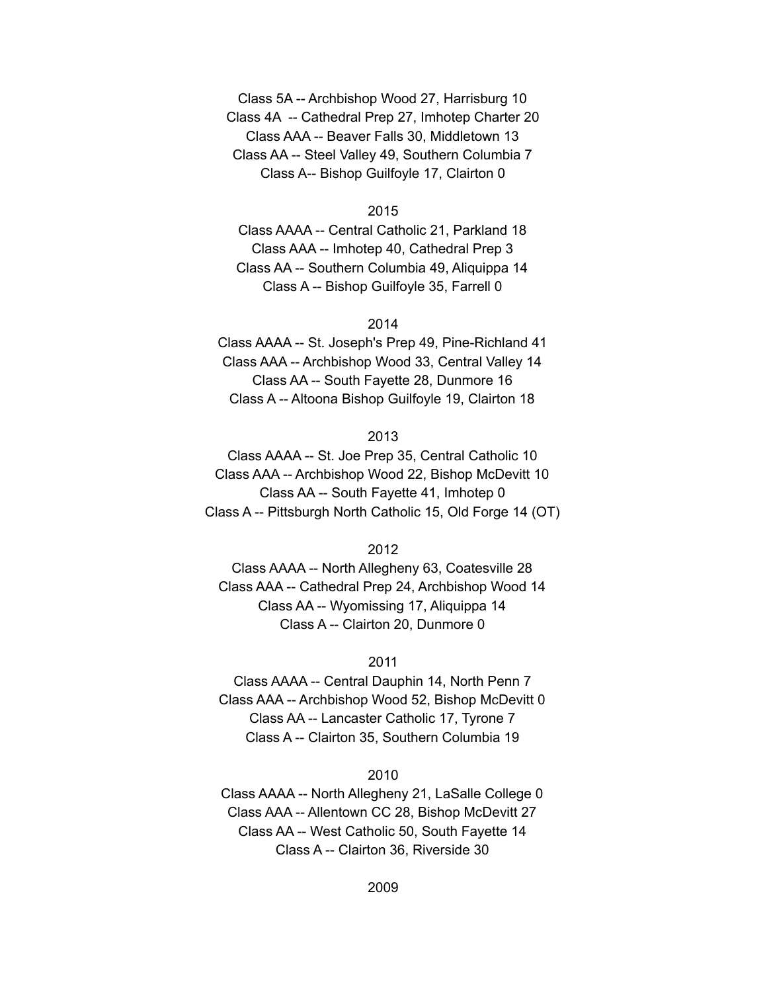Class 5A -- Archbishop Wood 27, Harrisburg 10 Class 4A -- Cathedral Prep 27, Imhotep Charter 20 Class AAA -- Beaver Falls 30, Middletown 13 Class AA -- Steel Valley 49, Southern Columbia 7 Class A-- Bishop Guilfoyle 17, Clairton 0

2015

Class AAAA -- Central Catholic 21, Parkland 18 Class AAA -- Imhotep 40, Cathedral Prep 3 Class AA -- Southern Columbia 49, Aliquippa 14 Class A -- Bishop Guilfoyle 35, Farrell 0

### 2014

Class AAAA -- St. Joseph's Prep 49, Pine-Richland 41 Class AAA -- Archbishop Wood 33, Central Valley 14 Class AA -- South Fayette 28, Dunmore 16 Class A -- Altoona Bishop Guilfoyle 19, Clairton 18

# 2013

Class AAAA -- St. Joe Prep 35, Central Catholic 10 Class AAA -- Archbishop Wood 22, Bishop McDevitt 10 Class AA -- South Fayette 41, Imhotep 0 Class A -- Pittsburgh North Catholic 15, Old Forge 14 (OT)

2012

Class AAAA -- North Allegheny 63, Coatesville 28 Class AAA -- Cathedral Prep 24, Archbishop Wood 14 Class AA -- Wyomissing 17, Aliquippa 14 Class A -- Clairton 20, Dunmore 0

### 2011

Class AAAA -- Central Dauphin 14, North Penn 7 Class AAA -- Archbishop Wood 52, Bishop McDevitt 0 Class AA -- Lancaster Catholic 17, Tyrone 7 Class A -- Clairton 35, Southern Columbia 19

# 2010

Class AAAA -- North Allegheny 21, LaSalle College 0 Class AAA -- Allentown CC 28, Bishop McDevitt 27 Class AA -- West Catholic 50, South Fayette 14 Class A -- Clairton 36, Riverside 30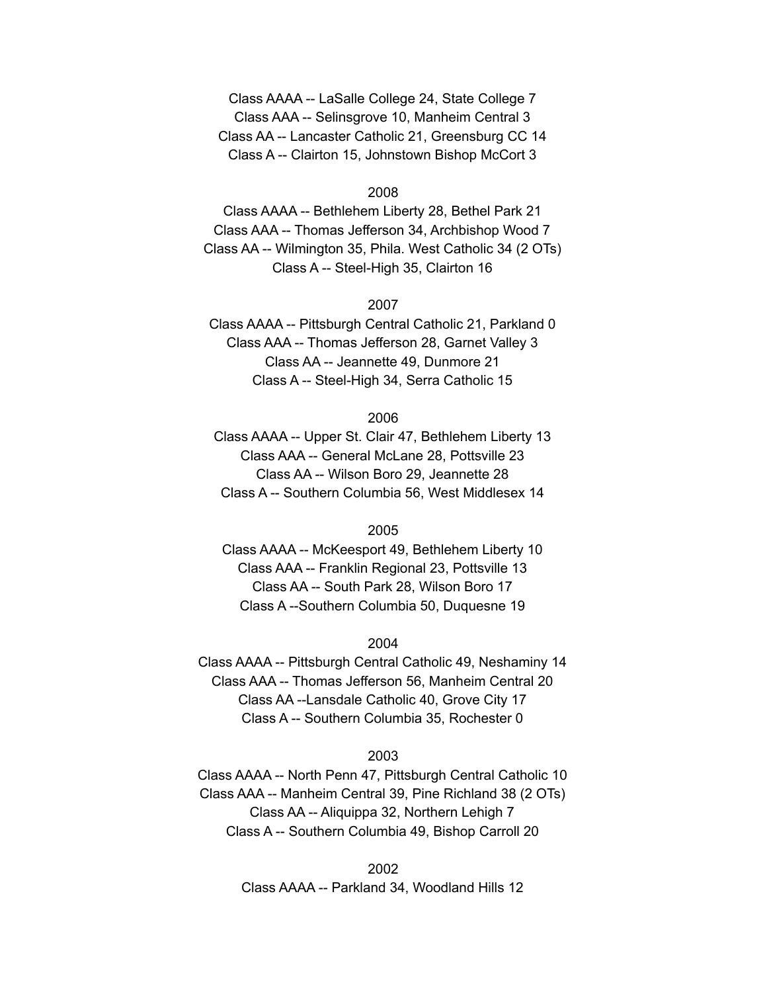Class AAAA -- LaSalle College 24, State College 7 Class AAA -- Selinsgrove 10, Manheim Central 3 Class AA -- Lancaster Catholic 21, Greensburg CC 14 Class A -- Clairton 15, Johnstown Bishop McCort 3

2008

Class AAAA -- Bethlehem Liberty 28, Bethel Park 21 Class AAA -- Thomas Jefferson 34, Archbishop Wood 7 Class AA -- Wilmington 35, Phila. West Catholic 34 (2 OTs) Class A -- Steel-High 35, Clairton 16

2007

Class AAAA -- Pittsburgh Central Catholic 21, Parkland 0 Class AAA -- Thomas Jefferson 28, Garnet Valley 3 Class AA -- Jeannette 49, Dunmore 21 Class A -- Steel-High 34, Serra Catholic 15

2006

Class AAAA -- Upper St. Clair 47, Bethlehem Liberty 13 Class AAA -- General McLane 28, Pottsville 23 Class AA -- Wilson Boro 29, Jeannette 28 Class A -- Southern Columbia 56, West Middlesex 14

2005

Class AAAA -- McKeesport 49, Bethlehem Liberty 10 Class AAA -- Franklin Regional 23, Pottsville 13 Class AA -- South Park 28, Wilson Boro 17 Class A --Southern Columbia 50, Duquesne 19

2004

Class AAAA -- Pittsburgh Central Catholic 49, Neshaminy 14 Class AAA -- Thomas Jefferson 56, Manheim Central 20 Class AA --Lansdale Catholic 40, Grove City 17 Class A -- Southern Columbia 35, Rochester 0

#### 2003

Class AAAA -- North Penn 47, Pittsburgh Central Catholic 10 Class AAA -- Manheim Central 39, Pine Richland 38 (2 OTs) Class AA -- Aliquippa 32, Northern Lehigh 7 Class A -- Southern Columbia 49, Bishop Carroll 20

> 2002 Class AAAA -- Parkland 34, Woodland Hills 12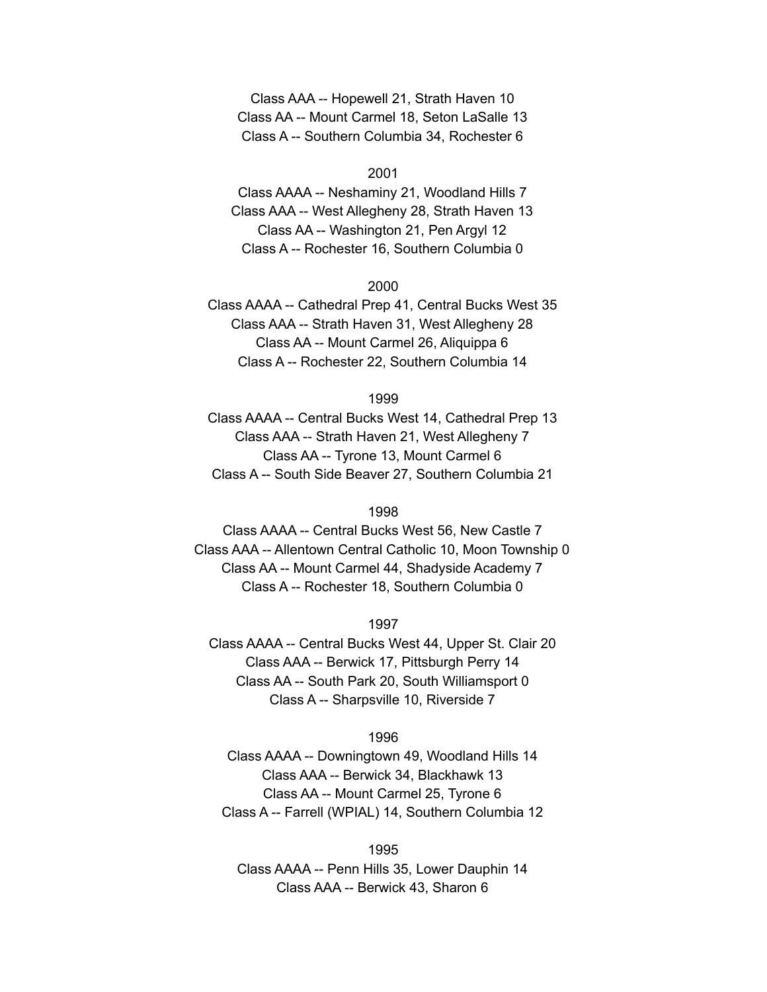Class AAA -- Hopewell 21, Strath Haven 10 Class AA -- Mount Carmel 18, Seton LaSalle 13 Class A -- Southern Columbia 34, Rochester 6

2001

Class AAAA -- Neshaminy 21, Woodland Hills 7 Class AAA -- West Allegheny 28, Strath Haven 13 Class AA -- Washington 21, Pen Argyl 12 Class A -- Rochester 16, Southern Columbia 0

2000

Class AAAA -- Cathedral Prep 41, Central Bucks West 35 Class AAA -- Strath Haven 31, West Allegheny 28 Class AA -- Mount Carmel 26, Aliquippa 6 Class A -- Rochester 22, Southern Columbia 14

1999

Class AAAA -- Central Bucks West 14, Cathedral Prep 13 Class AAA -- Strath Haven 21, West Allegheny 7 Class AA -- Tyrone 13, Mount Carmel 6 Class A -- South Side Beaver 27, Southern Columbia 21

1998

Class AAAA -- Central Bucks West 56, New Castle 7 Class AAA -- Allentown Central Catholic 10, Moon Township 0 Class AA -- Mount Carmel 44, Shadyside Academy 7 Class A -- Rochester 18, Southern Columbia 0

1997

Class AAAA -- Central Bucks West 44, Upper St. Clair 20 Class AAA -- Berwick 17, Pittsburgh Perry 14 Class AA -- South Park 20, South Williamsport 0 Class A -- Sharpsville 10, Riverside 7

1996

Class AAAA -- Downingtown 49, Woodland Hills 14 Class AAA -- Berwick 34, Blackhawk 13 Class AA -- Mount Carmel 25, Tyrone 6 Class A -- Farrell (WPIAL) 14, Southern Columbia 12

1995

Class AAAA -- Penn Hills 35, Lower Dauphin 14 Class AAA -- Berwick 43, Sharon 6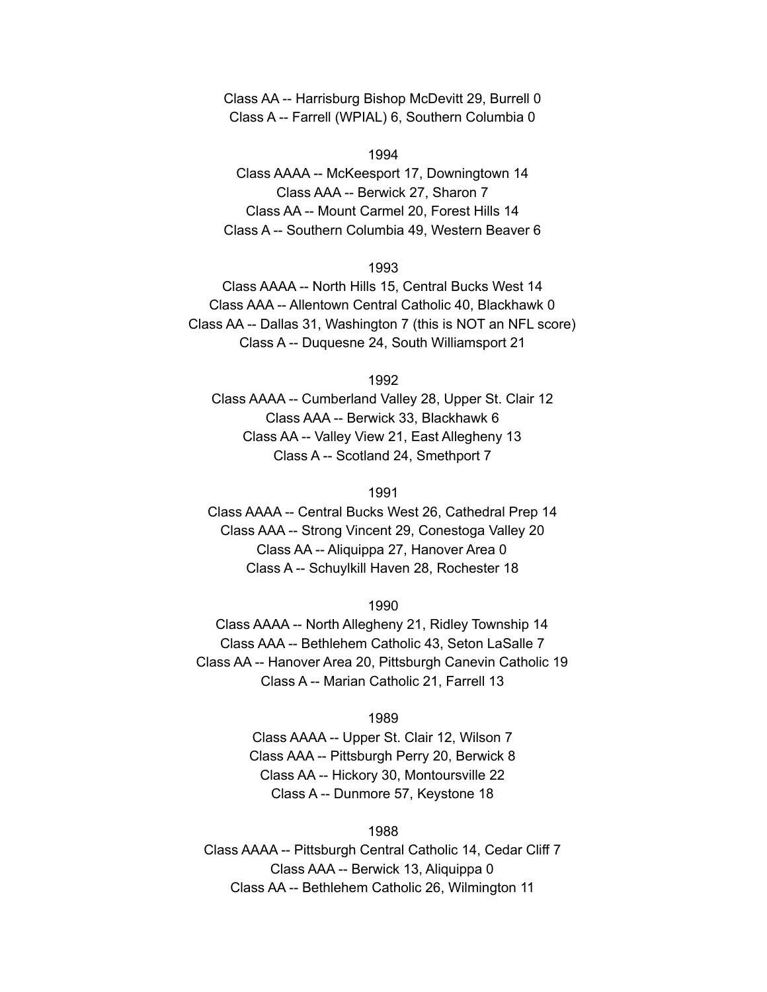Class AA -- Harrisburg Bishop McDevitt 29, Burrell 0 Class A -- Farrell (WPIAL) 6, Southern Columbia 0

1994

Class AAAA -- McKeesport 17, Downingtown 14 Class AAA -- Berwick 27, Sharon 7 Class AA -- Mount Carmel 20, Forest Hills 14 Class A -- Southern Columbia 49, Western Beaver 6

# 1993

Class AAAA -- North Hills 15, Central Bucks West 14 Class AAA -- Allentown Central Catholic 40, Blackhawk 0 Class AA -- Dallas 31, Washington 7 (this is NOT an NFL score) Class A -- Duquesne 24, South Williamsport 21

1992

Class AAAA -- Cumberland Valley 28, Upper St. Clair 12 Class AAA -- Berwick 33, Blackhawk 6 Class AA -- Valley View 21, East Allegheny 13 Class A -- Scotland 24, Smethport 7

1991

Class AAAA -- Central Bucks West 26, Cathedral Prep 14 Class AAA -- Strong Vincent 29, Conestoga Valley 20 Class AA -- Aliquippa 27, Hanover Area 0 Class A -- Schuylkill Haven 28, Rochester 18

1990

Class AAAA -- North Allegheny 21, Ridley Township 14 Class AAA -- Bethlehem Catholic 43, Seton LaSalle 7 Class AA -- Hanover Area 20, Pittsburgh Canevin Catholic 19 Class A -- Marian Catholic 21, Farrell 13

1989

Class AAAA -- Upper St. Clair 12, Wilson 7 Class AAA -- Pittsburgh Perry 20, Berwick 8 Class AA -- Hickory 30, Montoursville 22 Class A -- Dunmore 57, Keystone 18

1988

Class AAAA -- Pittsburgh Central Catholic 14, Cedar Cliff 7 Class AAA -- Berwick 13, Aliquippa 0 Class AA -- Bethlehem Catholic 26, Wilmington 11